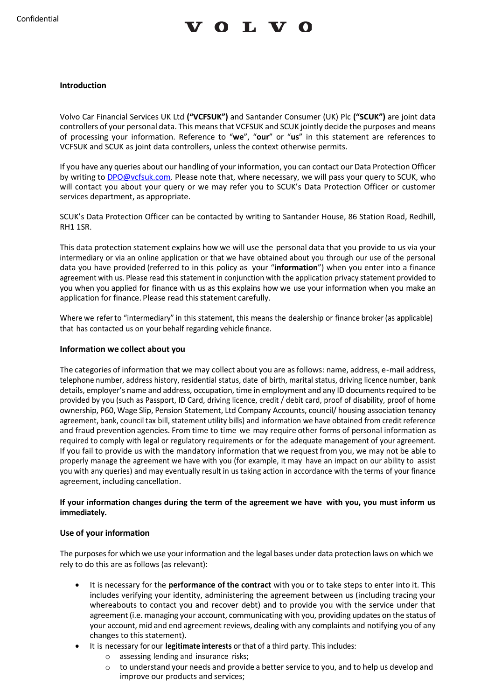# $0<sub>l</sub>$  v  $0<sub>l</sub>$

## **Introduction**

Volvo Car Financial Services UK Ltd **("VCFSUK")** and Santander Consumer (UK) Plc **("SCUK")** are joint data controllers of your personal data. This means that VCFSUK and SCUK jointly decide the purposes and means of processing your information. Reference to "**we**", "**our**" or "**us**" in this statement are references to VCFSUK and SCUK as joint data controllers, unless the context otherwise permits.

If you have any queries about our handling of your information, you can contact our Data Protection Officer by writing to [DPO@vcfsuk.com.](mailto:DPO@vcfsuk.com) Please note that, where necessary, we will pass your query to SCUK, who will contact you about your query or we may refer you to SCUK's Data Protection Officer or customer services department, as appropriate.

SCUK's Data Protection Officer can be contacted by writing to Santander House, 86 Station Road, Redhill, RH1 1SR.

This data protection statement explains how we will use the personal data that you provide to us via your intermediary or via an online application or that we have obtained about you through our use of the personal data you have provided (referred to in this policy as your "**information**") when you enter into a finance agreement with us. Please read this statement in conjunction with the application privacy statement provided to you when you applied for finance with us as this explains how we use your information when you make an application for finance. Please read this statement carefully.

Where we referto "intermediary" in this statement, this means the dealership or finance broker (as applicable) that has contacted us on your behalf regarding vehicle finance.

## **Information we collect about you**

The categories of information that we may collect about you are asfollows: name, address, e-mail address, telephone number, address history, residential status, date of birth, marital status, driving licence number, bank details, employer's name and address, occupation, time in employment and any ID documents required to be provided by you (such as Passport, ID Card, driving licence, credit / debit card, proof of disability, proof of home ownership, P60, Wage Slip, Pension Statement, Ltd Company Accounts, council/ housing association tenancy agreement, bank, council tax bill, statement utility bills) and information we have obtained from credit reference and fraud prevention agencies. From time to time we may require other forms of personal information as required to comply with legal or regulatory requirements or for the adequate management of your agreement. If you fail to provide us with the mandatory information that we request from you, we may not be able to properly manage the agreement we have with you (for example, it may have an impact on our ability to assist you with any queries) and may eventually result in us taking action in accordance with the terms of your finance agreement, including cancellation.

## **If your information changes during the term of the agreement we have with you, you must inform us immediately.**

### **Use of your information**

The purposesfor which we use your information and the legal bases under data protection laws on which we rely to do this are as follows (as relevant):

- It is necessary for the **performance of the contract** with you or to take steps to enter into it. This includes verifying your identity, administering the agreement between us (including tracing your whereabouts to contact you and recover debt) and to provide you with the service under that agreement (i.e. managing your account, communicating with you, providing updates on the status of your account, mid and end agreement reviews, dealing with any complaints and notifying you of any changes to this statement).
- It is necessary for our **legitimate interests** or that of a third party. This includes:
	- o assessing lending and insurance risks;
	- $\circ$  to understand your needs and provide a better service to you, and to help us develop and improve our products and services;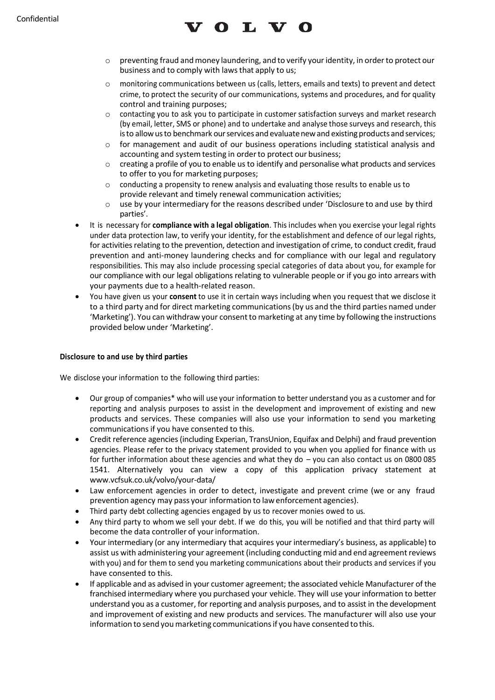## T. V

- $\circ$  preventing fraud and money laundering, and to verify your identity, in order to protect our business and to comply with laws that apply to us;
- o monitoring communications between us (calls, letters, emails and texts) to prevent and detect crime, to protect the security of our communications, systems and procedures, and for quality control and training purposes;
- $\circ$  contacting you to ask you to participate in customer satisfaction surveys and market research (by email, letter, SMS or phone) and to undertake and analyse those surveys and research, this is to allow us to benchmark our services and evaluate new and existing products and services;
- $\circ$  for management and audit of our business operations including statistical analysis and accounting and system testing in order to protect our business;
- $\circ$  creating a profile of you to enable us to identify and personalise what products and services to offer to you for marketing purposes;
- o conducting a propensity to renew analysis and evaluating those results to enable us to provide relevant and timely renewal communication activities;
- o use by your intermediary for the reasons described under 'Disclosure to and use by third parties'.
- It is necessary for **compliance with a legal obligation**. This includes when you exercise your legal rights under data protection law, to verify your identity, for the establishment and defence of our legal rights, for activities relating to the prevention, detection and investigation of crime, to conduct credit, fraud prevention and anti-money laundering checks and for compliance with our legal and regulatory responsibilities. This may also include processing special categories of data about you, for example for our compliance with our legal obligations relating to vulnerable people or if you go into arrears with your payments due to a health-related reason.
- You have given us your **consent** to use it in certain ways including when you request that we disclose it to a third party and for direct marketing communications(by us and the third parties named under 'Marketing'). You can withdraw your consentto marketing at any time by following the instructions provided below under 'Marketing'.

## **Disclosure to and use by third parties**

We disclose your information to the following third parties:

- Our group of companies\* who will use your information to better understand you as a customer and for reporting and analysis purposes to assist in the development and improvement of existing and new products and services. These companies will also use your information to send you marketing communications if you have consented to this.
- Credit reference agencies(including Experian, TransUnion, Equifax and Delphi) and fraud prevention agencies. Please refer to the privacy statement provided to you when you applied for finance with us for further information about these agencies and what they do – you can also contact us on 0800 085 1541. Alternatively you can view a copy of this application privacy statement at www.vcfsuk.co.uk/volvo/your-data/
- Law enforcement agencies in order to detect, investigate and prevent crime (we or any fraud prevention agency may pass your information to lawenforcement agencies).
- Third party debt collecting agencies engaged by us to recover monies owed to us.
- Any third party to whom we sell your debt. If we do this, you will be notified and that third party will become the data controller of your information.
- Your intermediary (or any intermediary that acquires your intermediary's business, as applicable) to assist us with administering your agreement (including conducting mid and end agreement reviews with you) and for them to send you marketing communications about their products and services if you have consented to this.
- If applicable and as advised in your customer agreement; the associated vehicle Manufacturer of the franchised intermediary where you purchased your vehicle. They will use your information to better understand you as a customer, for reporting and analysis purposes, and to assist in the development and improvement of existing and new products and services. The manufacturer will also use your information to send you marketing communications if you have consented to this.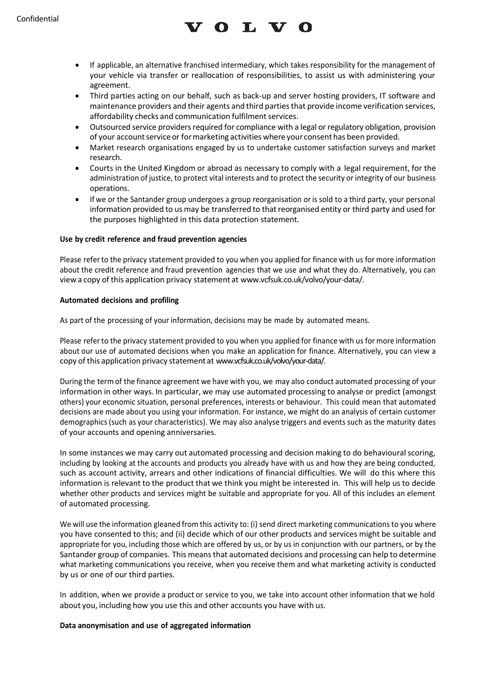# $\mathbf{T}$ ,  $\mathbf{I}$

- If applicable, an alternative franchised intermediary, which takes responsibility for the management of your vehicle via transfer or reallocation of responsibilities, to assist us with administering your agreement.
- Third parties acting on our behalf, such as back-up and server hosting providers, IT software and maintenance providers and their agents and third partiesthat provide income verification services, affordability checks and communication fulfilment services.
- Outsourced service providers required for compliance with a legal or regulatory obligation, provision of your account service or for marketing activities where your consent has been provided.
- Market research organisations engaged by us to undertake customer satisfaction surveys and market research.
- Courts in the United Kingdom or abroad as necessary to comply with a legal requirement, for the administration of justice, to protect vital interests and to protect the security or integrity of our business operations.
- If we or the Santander group undergoes a group reorganisation or is sold to a third party, your personal information provided to us may be transferred to that reorganised entity or third party and used for the purposes highlighted in this data protection statement.

## **Use by credit reference and fraud prevention agencies**

Please referto the privacy statement provided to you when you applied for finance with us for more information about the credit reference and fraud prevention agencies that we use and what they do. Alternatively, you can view a copy of this application privacy statement at www.vcfsuk.co.uk/volvo/your-data/.

### **Automated decisions and profiling**

As part of the processing of your information, decisions may be made by automated means.

Please referto the privacy statement provided to you when you applied for finance with us for more information about our use of automated decisions when you make an application for finance. Alternatively, you can view a copy of this application privacy statement at www.vcfsuk.co.uk/volvo/your-data/.

During the term of the finance agreement we have with you, we may also conduct automated processing of your information in other ways. In particular, we may use automated processing to analyse or predict (amongst others) your economic situation, personal preferences, interests or behaviour. This could mean that automated decisions are made about you using your information. For instance, we might do an analysis of certain customer demographics(such as your characteristics). We may also analyse triggers and events such as the maturity dates of your accounts and opening anniversaries.

In some instances we may carry out automated processing and decision making to do behaviouralscoring, including by looking at the accounts and products you already have with us and how they are being conducted, such as account activity, arrears and other indications of financial difficulties. We will do this where this information is relevant to the product that we think you might be interested in. This will help us to decide whether other products and services might be suitable and appropriate for you. All of this includes an element of automated processing.

We will use the information gleaned from this activity to: (i) send direct marketing communications to you where you have consented to this; and (ii) decide which of our other products and services might be suitable and appropriate for you, including those which are offered by us, or by us in conjunction with our partners, or by the Santander group of companies. This means that automated decisions and processing can help to determine what marketing communications you receive, when you receive them and what marketing activity is conducted by us or one of our third parties.

In addition, when we provide a product or service to you, we take into account other information that we hold about you, including how you use this and other accounts you have with us.

### **Data anonymisation and use of aggregated information**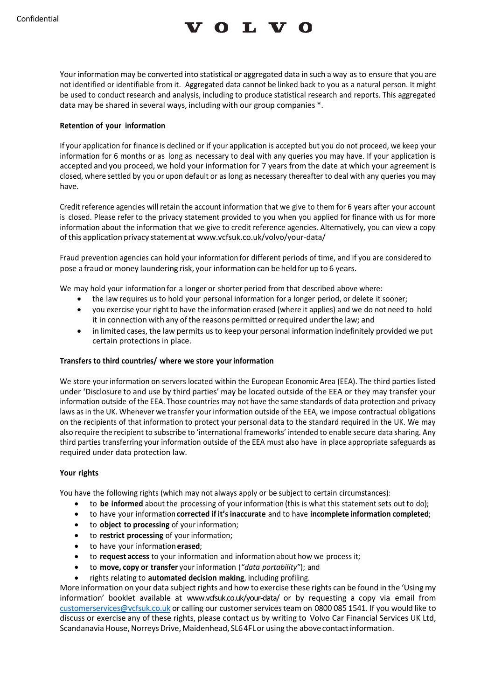

Your information may be converted into statistical or aggregated data in such a way as to ensure that you are not identified or identifiable from it. Aggregated data cannot be linked back to you as a natural person. It might be used to conduct research and analysis, including to produce statistical research and reports. This aggregated data may be shared in several ways, including with our group companies \*.

### **Retention of your information**

If your application for finance is declined or if your application is accepted but you do not proceed, we keep your information for 6 months or as long as necessary to deal with any queries you may have. If your application is accepted and you proceed, we hold your information for 7 years from the date at which your agreement is closed, where settled by you or upon default or as long as necessary thereafter to deal with any queries you may have.

Credit reference agencies will retain the account information that we give to them for 6 years after your account is closed. Please refer to the privacy statement provided to you when you applied for finance with us for more information about the information that we give to credit reference agencies. Alternatively, you can view a copy ofthis application privacy statement at www.vcfsuk.co.uk/volvo/your-data/

Fraud prevention agencies can hold your information for different periods of time, and if you are considered to pose a fraud or money laundering risk, your information can beheldfor up to 6 years.

We may hold your information for a longer or shorter period from that described above where:

- the law requires us to hold your personal information for a longer period, or delete it sooner;
- you exercise your right to have the information erased (where it applies) and we do not need to hold it in connection with any of the reasons permitted or required under the law; and
- in limited cases, the law permits us to keep your personal information indefinitely provided we put certain protections in place.

### **Transfers to third countries/ where we store yourinformation**

We store your information on servers located within the European Economic Area (EEA). The third parties listed under 'Disclosure to and use by third parties' may be located outside of the EEA or they may transfer your information outside of the EEA. Those countries may not have the same standards of data protection and privacy laws as in the UK. Whenever we transfer your information outside of the EEA, we impose contractual obligations on the recipients of that information to protect your personal data to the standard required in the UK. We may also require the recipient to subscribe to 'international frameworks' intended to enable secure data sharing. Any third parties transferring your information outside of the EEA must also have in place appropriate safeguards as required under data protection law.

### **Your rights**

You have the following rights (which may not always apply or be subject to certain circumstances):

- to **be informed** about the processing of your information (this is what this statement sets out to do);
- to have your information **corrected if it'sinaccurate** and to have **incomplete information completed**;
- to **object to processing** of yourinformation;
- to **restrict processing** of your information;
- to have your information **erased**;
- to **request access** to your information and information about how we process it;
- to **move, copy or transfer** yourinformation (*"data portability"*); and
- rights relating to **automated decision making**, including profiling.

More information on your data subject rights and how to exercise these rights can be found in the 'Using my information' booklet available at www.vcfsuk.co.uk/your-data/ or by requesting a copy via email from [customerservices@vcfsuk.co.uk](mailto:customerservices@vcfsuk.co.uk) or calling our customer services team on 0800 085 1541. If you would like to discuss or exercise any of these rights, please contact us by writing to Volvo Car Financial Services UK Ltd, Scandanavia House, Norreys Drive, Maidenhead, SL64FL or using the above contact information.